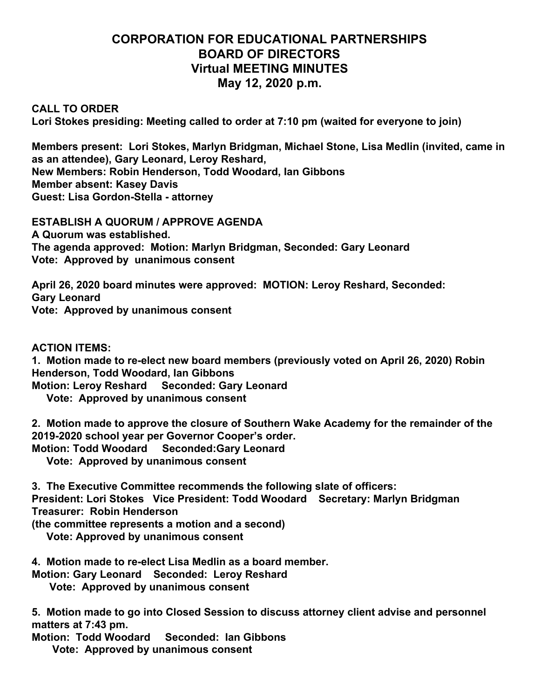## **CORPORATION FOR EDUCATIONAL PARTNERSHIPS BOARD OF DIRECTORS Virtual MEETING MINUTES May 12, 2020 p.m.**

**CALL TO ORDER**

**Lori Stokes presiding: Meeting called to order at 7:10 pm (waited for everyone to join)**

**Members present: Lori Stokes, Marlyn Bridgman, Michael Stone, Lisa Medlin (invited, came in as an attendee), Gary Leonard, Leroy Reshard, New Members: Robin Henderson, Todd Woodard, Ian Gibbons Member absent: Kasey Davis Guest: Lisa Gordon-Stella - attorney**

**ESTABLISH A QUORUM / APPROVE AGENDA A Quorum was established. The agenda approved: Motion: Marlyn Bridgman, Seconded: Gary Leonard Vote: Approved by unanimous consent**

**April 26, 2020 board minutes were approved: MOTION: Leroy Reshard, Seconded: Gary Leonard Vote: Approved by unanimous consent**

**ACTION ITEMS:**

**1. Motion made to re-elect new board members (previously voted on April 26, 2020) Robin Henderson, Todd Woodard, Ian Gibbons Motion: Leroy Reshard Seconded: Gary Leonard**

 **Vote: Approved by unanimous consent**

**2. Motion made to approve the closure of Southern Wake Academy for the remainder of the 2019-2020 school year per Governor Cooper's order.**

**Motion: Todd Woodard Seconded:Gary Leonard**

 **Vote: Approved by unanimous consent**

**3. The Executive Committee recommends the following slate of officers:**

**President: Lori Stokes Vice President: Todd Woodard Secretary: Marlyn Bridgman Treasurer: Robin Henderson**

**(the committee represents a motion and a second)**

 **Vote: Approved by unanimous consent**

**4. Motion made to re-elect Lisa Medlin as a board member.**

**Motion: Gary Leonard Seconded: Leroy Reshard**

 **Vote: Approved by unanimous consent**

**5. Motion made to go into Closed Session to discuss attorney client advise and personnel matters at 7:43 pm.**

**Motion: Todd Woodard Seconded: Ian Gibbons**

 **Vote: Approved by unanimous consent**